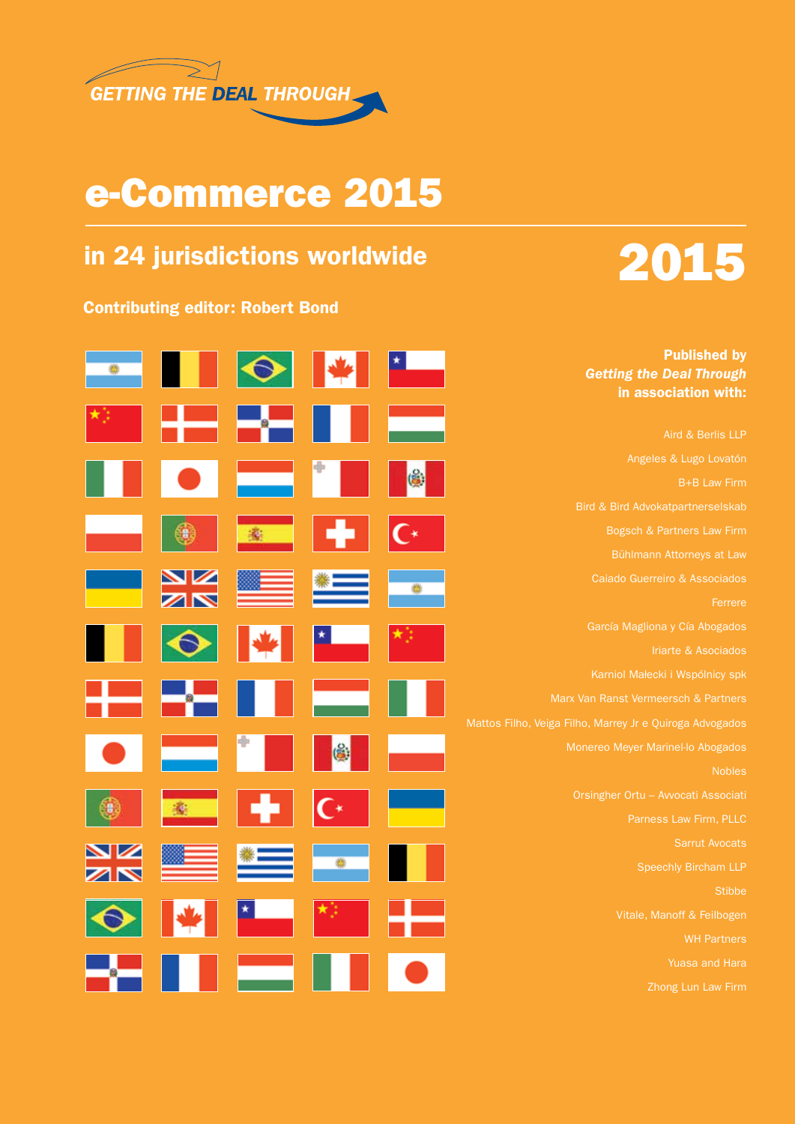

## e-Commerce 2015

## in 24 jurisdictions worldwide

#### Contributing editor: Robert Bond



Published by *Getting the Deal Through*  in association with: Aird & Berlis LLP Bird & Bird Advokatpartnerselskab ä Bogsch & Partners Law Firm Bühlmann Attorneys at Law  $\frac{\mathbf{N}}{\mathbf{N}}$ Caiado Guerreiro & Associados García Magliona y Cía Abogados Karniol Małecki i Wspólnicy spk Mattos Filho, Veiga Filho, Marrey Jr e Quiroga Advogados Monereo Meyer Marinel-lo Abogados (台) Orsingher Ortu – Avvocati Associati ⊤∗ Sarrut Avocats 雹 Yuasa and Hara Zhong Lun Law Firm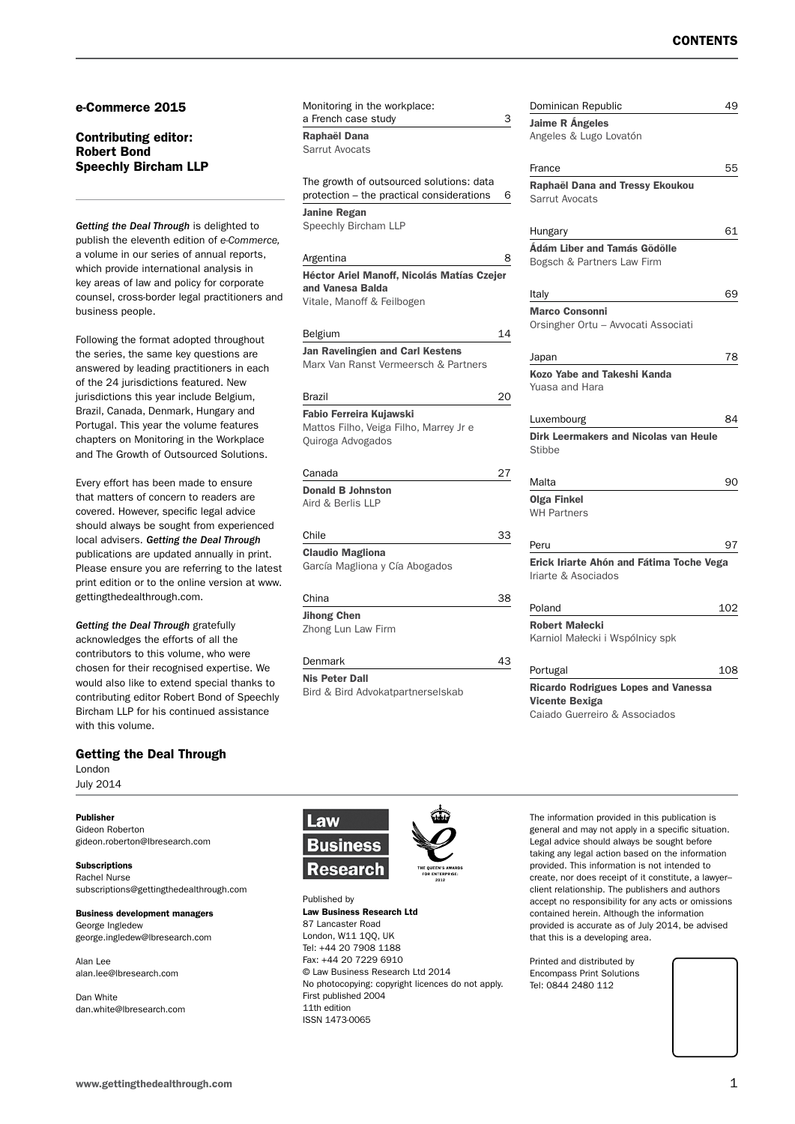#### e-Commerce 2015

#### Contributing editor: Robert Bond Speechly Bircham LLP

*Getting the Deal Through* is delighted to publish the eleventh edition of *e-Commerce,*  a volume in our series of annual reports, which provide international analysis in key areas of law and policy for corporate counsel, cross-border legal practitioners and business people.

Following the format adopted throughout the series, the same key questions are answered by leading practitioners in each of the 24 jurisdictions featured. New jurisdictions this year include Belgium, Brazil, Canada, Denmark, Hungary and Portugal. This year the volume features chapters on Monitoring in the Workplace and The Growth of Outsourced Solutions.

Every effort has been made to ensure that matters of concern to readers are covered. However, specific legal advice should always be sought from experienced local advisers. *Getting the Deal Through*  publications are updated annually in print. Please ensure you are referring to the latest print edition or to the online version at www. gettingthedealthrough.com.

*Getting the Deal Through* gratefully acknowledges the efforts of all the contributors to this volume, who were chosen for their recognised expertise. We would also like to extend special thanks to contributing editor Robert Bond of Speechly Bircham LLP for his continued assistance with this volume.

#### Getting the Deal Through

London July 2014

#### Publisher

Gideon Roberton gideon.roberton@lbresearch.com

Subscriptions Rachel Nurse subscriptions@gettingthedealthrough.com

Business development managers George Ingledew george.ingledew@lbresearch.com

Alan Lee alan.lee@lbresearch.com

Dan White dan.white@lbresearch.com Monitoring in the workplace: a French case study

Raphaël Dana

Sarrut Avocats

The growth of outsourced solutions: data protection – the practical considerations 6

Janine Regan Speechly Bircham LLP

#### **Argentina**

Héctor Ariel Manoff, Nicolás Matías Czej and Vanesa Balda Vitale, Manoff & Feilbogen

Belgium Jan Ravelingien and Carl Kestens Marx Van Ranst Vermeersch & Partners

| Brazil                                                                                 |    |
|----------------------------------------------------------------------------------------|----|
| Fabio Ferreira Kujawski<br>Mattos Filho, Veiga Filho, Marrey Jr e<br>Quiroga Advogados |    |
| Canada                                                                                 | 27 |
| <b>Donald B Johnston</b><br>Aird & Berlis IIP                                          |    |
| Chile                                                                                  | 33 |
| <b>Claudio Magliona</b>                                                                |    |
| García Magliona y Cía Abogados                                                         |    |

| China              | 38 |
|--------------------|----|
| <b>Jihong Chen</b> |    |
| Zhong Lun Law Firm |    |
|                    |    |
| Denmark            | ∣੨ |
|                    |    |

Nis Peter Dall Bird & Bird Advokatpartnerselskab

|    | Dominican Republic                                              | 49  |
|----|-----------------------------------------------------------------|-----|
| 3  | <b>Jaime R Ángeles</b>                                          |     |
|    | Angeles & Lugo Lovatón                                          |     |
|    |                                                                 |     |
|    | France                                                          | 55  |
| 6  | Raphaël Dana and Tressy Ekoukou                                 |     |
|    | <b>Sarrut Avocats</b>                                           |     |
|    |                                                                 |     |
|    | Hungary                                                         | 61  |
| 8  | Ádám Liber and Tamás Gödölle                                    |     |
| er | Bogsch & Partners Law Firm                                      |     |
|    | Italy                                                           | 69  |
|    | <b>Marco Consonni</b>                                           |     |
|    | Orsingher Ortu - Avvocati Associati                             |     |
| 14 |                                                                 |     |
|    | Japan                                                           | 78  |
|    | Kozo Yabe and Takeshi Kanda                                     |     |
|    | Yuasa and Hara                                                  |     |
| 20 |                                                                 |     |
|    | Luxembourg                                                      | 84  |
|    | <b>Dirk Leermakers and Nicolas van Heule</b>                    |     |
|    | Stibbe                                                          |     |
| 27 |                                                                 |     |
|    | Malta                                                           | 90  |
|    | <b>Olga Finkel</b>                                              |     |
|    | <b>WH Partners</b>                                              |     |
| 33 |                                                                 |     |
|    | Peru                                                            | 97  |
|    | Erick Iriarte Ahón and Fátima Toche Vega<br>Iriarte & Asociados |     |
|    |                                                                 |     |
| 38 | Poland                                                          | 102 |
|    | <b>Robert Małecki</b>                                           |     |
|    | Karniol Małecki i Wspólnicy spk                                 |     |
|    |                                                                 |     |
| 43 | Portugal                                                        | 108 |
|    | <b>Ricardo Rodrigues Lopes and Vanessa</b>                      |     |
|    | Vicente Bexiga                                                  |     |

Caiado Guerreiro & Associados



Published by Law Business Research Ltd 87 Lancaster Road London, W11 1QQ, UK Tel: +44 20 7908 1188 Fax: +44 20 7229 6910 © Law Business Research Ltd 2014 No photocopying: copyright licences do not apply. First published 2004 11th edition ISSN 1473-0065

The information provided in this publication is general and may not apply in a specific situation. Legal advice should always be sought before taking any legal action based on the information provided. This information is not intended to create, nor does receipt of it constitute, a lawyer– client relationship. The publishers and authors accept no responsibility for any acts or omissions contained herein. Although the information provided is accurate as of July 2014, be advised that this is a developing area.

Printed and distributed by Encompass Print Solutions Tel: 0844 2480 112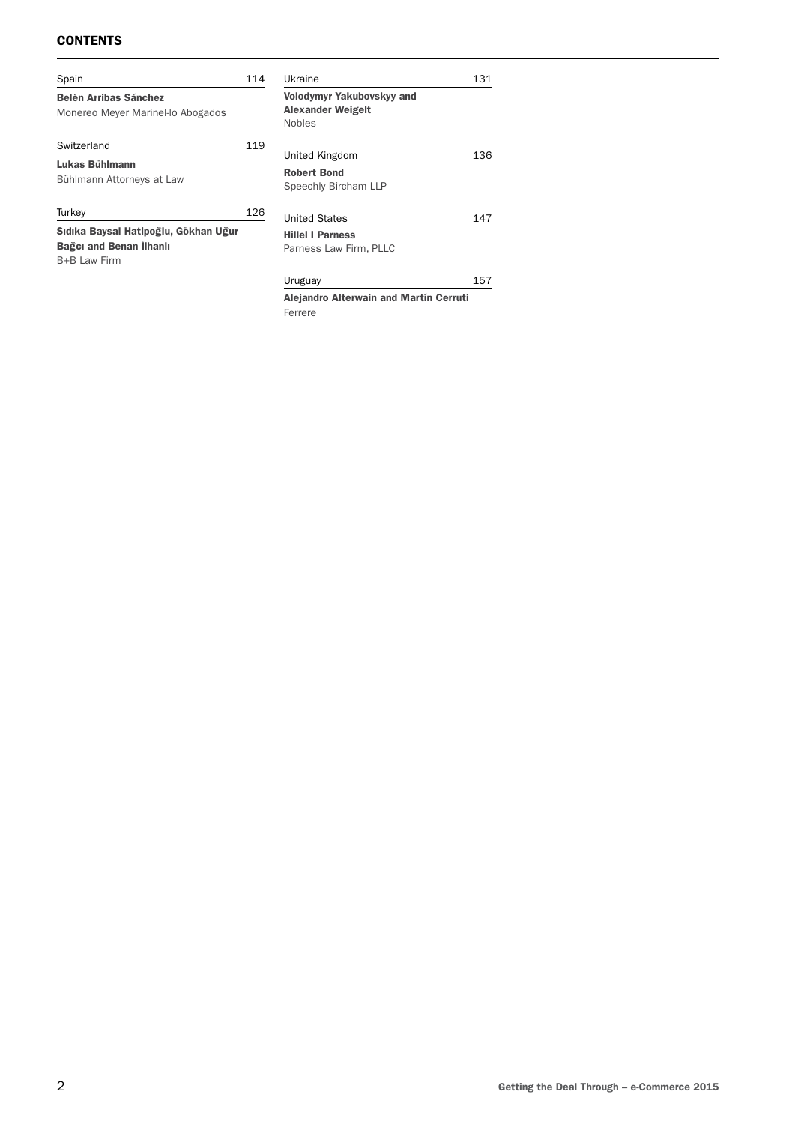#### **CONTENTS**

| Spain                                                                                  | 114 | Ukraine                                                                       | 131 |
|----------------------------------------------------------------------------------------|-----|-------------------------------------------------------------------------------|-----|
| <b>Belén Arribas Sánchez</b><br>Monereo Meyer Marinel-lo Abogados                      |     | <b>Volodymyr Yakubovskyy and</b><br><b>Alexander Weigelt</b><br><b>Nobles</b> |     |
| Switzerland                                                                            | 119 | United Kingdom                                                                | 136 |
| Lukas Bühlmann<br>Bühlmann Attorneys at Law                                            |     | <b>Robert Bond</b><br>Speechly Bircham LLP                                    |     |
| Turkey                                                                                 | 126 | <b>United States</b>                                                          | 147 |
| Sıdıka Baysal Hatipoğlu, Gökhan Uğur<br><b>Bağcı and Benan İlhanlı</b><br>B+B Law Firm |     | <b>Hillel   Parness</b><br>Parness Law Firm, PLLC                             |     |
|                                                                                        |     | Uruguay                                                                       | 157 |
|                                                                                        |     | Alejandro Alterwain and Martín Cerruti                                        |     |

Ferrere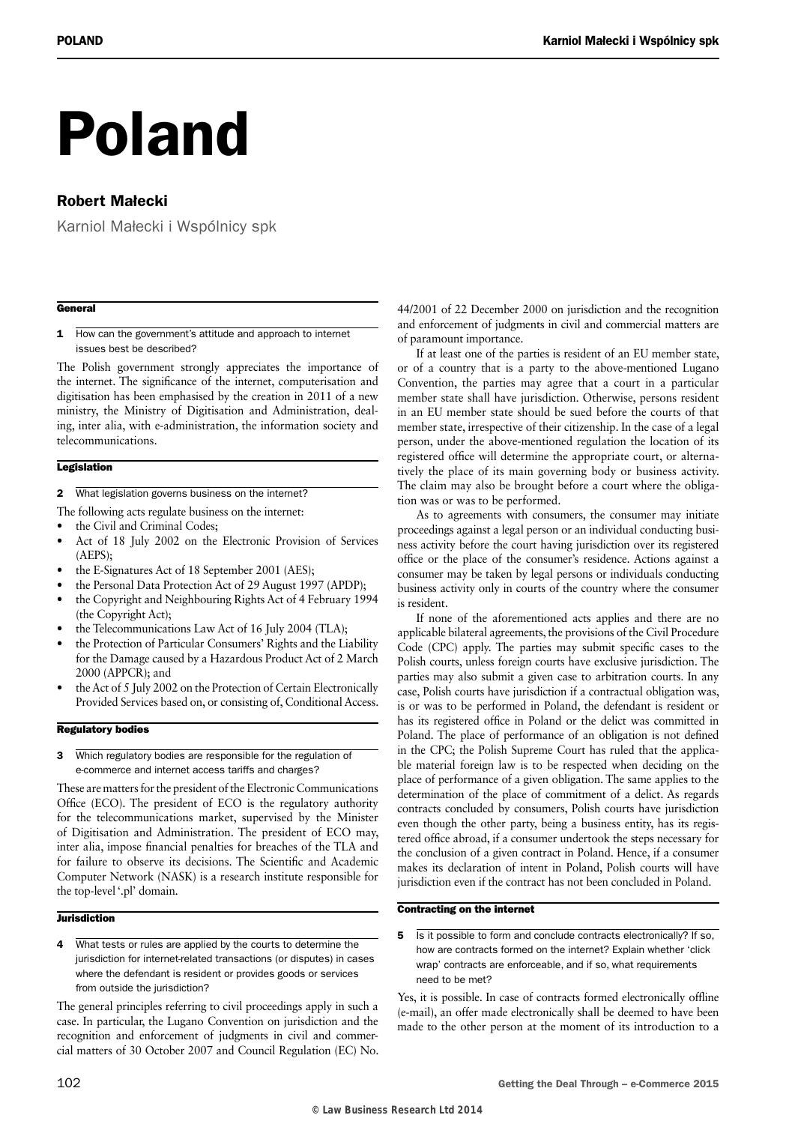# Poland

### Robert Małecki

Karniol Małecki i Wspólnicy spk

#### **General**

1 How can the government's attitude and approach to internet issues best be described?

The Polish government strongly appreciates the importance of the internet. The significance of the internet, computerisation and digitisation has been emphasised by the creation in 2011 of a new ministry, the Ministry of Digitisation and Administration, dealing, inter alia, with e-administration, the information society and telecommunications.

#### **Legislation**

- 2 What legislation governs business on the internet?
- The following acts regulate business on the internet:
- the Civil and Criminal Codes;
- Act of 18 July 2002 on the Electronic Provision of Services (AEPS);
- the E-Signatures Act of 18 September 2001 (AES);
- the Personal Data Protection Act of 29 August 1997 (APDP);
- the Copyright and Neighbouring Rights Act of 4 February 1994 (the Copyright Act);
- the Telecommunications Law Act of 16 July 2004 (TLA);
- the Protection of Particular Consumers' Rights and the Liability for the Damage caused by a Hazardous Product Act of 2 March 2000 (APPCR); and
- the Act of 5 July 2002 on the Protection of Certain Electronically Provided Services based on, or consisting of, Conditional Access.

#### Regulatory bodies

3 Which regulatory bodies are responsible for the regulation of e-commerce and internet access tariffs and charges?

These are matters for the president of the Electronic Communications Office (ECO). The president of ECO is the regulatory authority for the telecommunications market, supervised by the Minister of Digitisation and Administration. The president of ECO may, inter alia, impose financial penalties for breaches of the TLA and for failure to observe its decisions. The Scientific and Academic Computer Network (NASK) is a research institute responsible for the top-level '.pl' domain.

#### **Jurisdiction**

4 What tests or rules are applied by the courts to determine the jurisdiction for internet-related transactions (or disputes) in cases where the defendant is resident or provides goods or services from outside the jurisdiction?

The general principles referring to civil proceedings apply in such a case. In particular, the Lugano Convention on jurisdiction and the recognition and enforcement of judgments in civil and commercial matters of 30 October 2007 and Council Regulation (EC) No. 44/2001 of 22 December 2000 on jurisdiction and the recognition and enforcement of judgments in civil and commercial matters are of paramount importance.

If at least one of the parties is resident of an EU member state, or of a country that is a party to the above-mentioned Lugano Convention, the parties may agree that a court in a particular member state shall have jurisdiction. Otherwise, persons resident in an EU member state should be sued before the courts of that member state, irrespective of their citizenship. In the case of a legal person, under the above-mentioned regulation the location of its registered office will determine the appropriate court, or alternatively the place of its main governing body or business activity. The claim may also be brought before a court where the obligation was or was to be performed.

As to agreements with consumers, the consumer may initiate proceedings against a legal person or an individual conducting business activity before the court having jurisdiction over its registered office or the place of the consumer's residence. Actions against a consumer may be taken by legal persons or individuals conducting business activity only in courts of the country where the consumer is resident.

If none of the aforementioned acts applies and there are no applicable bilateral agreements, the provisions of the Civil Procedure Code (CPC) apply. The parties may submit specific cases to the Polish courts, unless foreign courts have exclusive jurisdiction. The parties may also submit a given case to arbitration courts. In any case, Polish courts have jurisdiction if a contractual obligation was, is or was to be performed in Poland, the defendant is resident or has its registered office in Poland or the delict was committed in Poland. The place of performance of an obligation is not defined in the CPC; the Polish Supreme Court has ruled that the applicable material foreign law is to be respected when deciding on the place of performance of a given obligation. The same applies to the determination of the place of commitment of a delict. As regards contracts concluded by consumers, Polish courts have jurisdiction even though the other party, being a business entity, has its registered office abroad, if a consumer undertook the steps necessary for the conclusion of a given contract in Poland. Hence, if a consumer makes its declaration of intent in Poland, Polish courts will have jurisdiction even if the contract has not been concluded in Poland.

#### Contracting on the internet

5 Is it possible to form and conclude contracts electronically? If so, how are contracts formed on the internet? Explain whether 'click wrap' contracts are enforceable, and if so, what requirements need to be met?

Yes, it is possible. In case of contracts formed electronically offline (e-mail), an offer made electronically shall be deemed to have been made to the other person at the moment of its introduction to a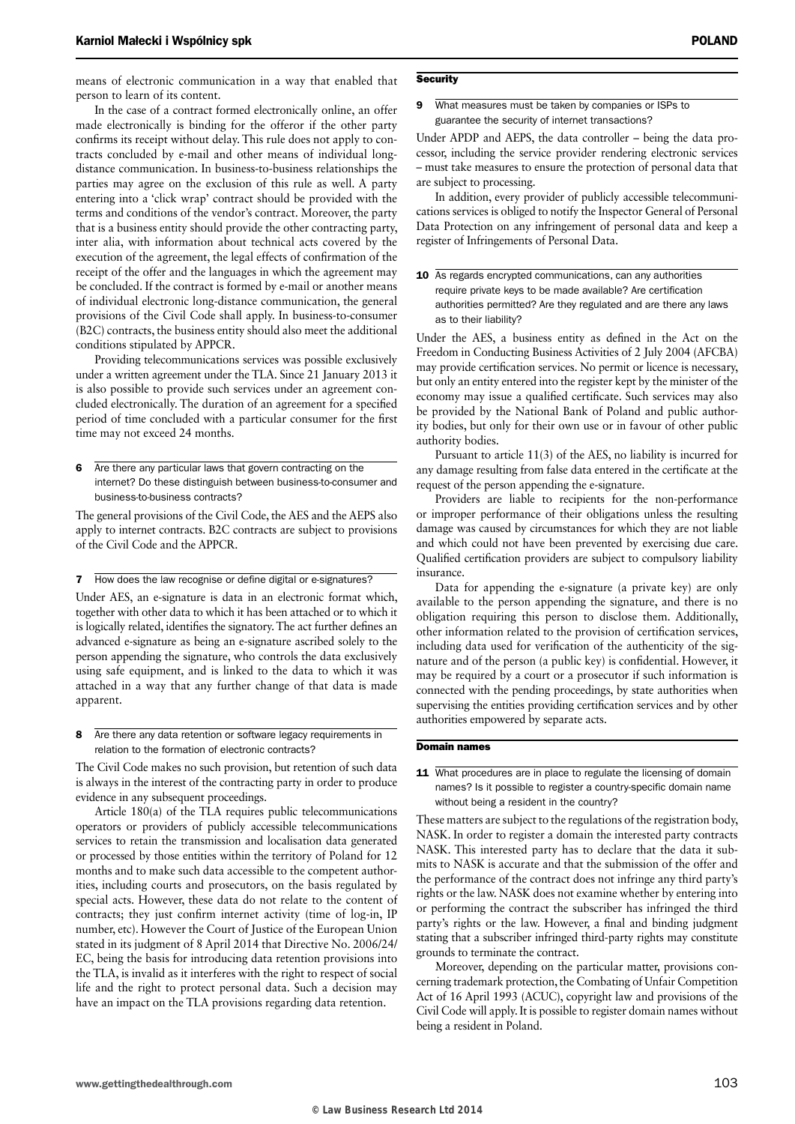means of electronic communication in a way that enabled that person to learn of its content.

In the case of a contract formed electronically online, an offer made electronically is binding for the offeror if the other party confirms its receipt without delay. This rule does not apply to contracts concluded by e-mail and other means of individual longdistance communication. In business-to-business relationships the parties may agree on the exclusion of this rule as well. A party entering into a 'click wrap' contract should be provided with the terms and conditions of the vendor's contract. Moreover, the party that is a business entity should provide the other contracting party, inter alia, with information about technical acts covered by the execution of the agreement, the legal effects of confirmation of the receipt of the offer and the languages in which the agreement may be concluded. If the contract is formed by e-mail or another means of individual electronic long-distance communication, the general provisions of the Civil Code shall apply. In business-to-consumer (B2C) contracts, the business entity should also meet the additional conditions stipulated by APPCR.

Providing telecommunications services was possible exclusively under a written agreement under the TLA. Since 21 January 2013 it is also possible to provide such services under an agreement concluded electronically. The duration of an agreement for a specified period of time concluded with a particular consumer for the first time may not exceed 24 months.

6 Are there any particular laws that govern contracting on the internet? Do these distinguish between business-to-consumer and business-to-business contracts?

The general provisions of the Civil Code, the AES and the AEPS also apply to internet contracts. B2C contracts are subject to provisions of the Civil Code and the APPCR.

7 How does the law recognise or define digital or e-signatures?

Under AES, an e-signature is data in an electronic format which, together with other data to which it has been attached or to which it is logically related, identifies the signatory. The act further defines an advanced e-signature as being an e-signature ascribed solely to the person appending the signature, who controls the data exclusively using safe equipment, and is linked to the data to which it was attached in a way that any further change of that data is made apparent.

8 Are there any data retention or software legacy requirements in relation to the formation of electronic contracts?

The Civil Code makes no such provision, but retention of such data is always in the interest of the contracting party in order to produce evidence in any subsequent proceedings.

Article 180(a) of the TLA requires public telecommunications operators or providers of publicly accessible telecommunications services to retain the transmission and localisation data generated or processed by those entities within the territory of Poland for 12 months and to make such data accessible to the competent authorities, including courts and prosecutors, on the basis regulated by special acts. However, these data do not relate to the content of contracts; they just confirm internet activity (time of log-in, IP number, etc). However the Court of Justice of the European Union stated in its judgment of 8 April 2014 that Directive No. 2006/24/ EC, being the basis for introducing data retention provisions into the TLA, is invalid as it interferes with the right to respect of social life and the right to protect personal data. Such a decision may have an impact on the TLA provisions regarding data retention.

#### **Security**

9 What measures must be taken by companies or ISPs to guarantee the security of internet transactions?

Under APDP and AEPS, the data controller – being the data processor, including the service provider rendering electronic services – must take measures to ensure the protection of personal data that are subject to processing.

In addition, every provider of publicly accessible telecommunications services is obliged to notify the Inspector General of Personal Data Protection on any infringement of personal data and keep a register of Infringements of Personal Data.

| 10 As regards encrypted communications, can any authorities      |
|------------------------------------------------------------------|
| require private keys to be made available? Are certification     |
| authorities permitted? Are they regulated and are there any laws |
| as to their liability?                                           |

Under the AES, a business entity as defined in the Act on the Freedom in Conducting Business Activities of 2 July 2004 (AFCBA) may provide certification services. No permit or licence is necessary, but only an entity entered into the register kept by the minister of the economy may issue a qualified certificate. Such services may also be provided by the National Bank of Poland and public authority bodies, but only for their own use or in favour of other public authority bodies.

Pursuant to article 11(3) of the AES, no liability is incurred for any damage resulting from false data entered in the certificate at the request of the person appending the e-signature.

Providers are liable to recipients for the non-performance or improper performance of their obligations unless the resulting damage was caused by circumstances for which they are not liable and which could not have been prevented by exercising due care. Qualified certification providers are subject to compulsory liability insurance.

Data for appending the e-signature (a private key) are only available to the person appending the signature, and there is no obligation requiring this person to disclose them. Additionally, other information related to the provision of certification services, including data used for verification of the authenticity of the signature and of the person (a public key) is confidential. However, it may be required by a court or a prosecutor if such information is connected with the pending proceedings, by state authorities when supervising the entities providing certification services and by other authorities empowered by separate acts.

#### Domain names

#### 11 What procedures are in place to regulate the licensing of domain names? Is it possible to register a country-specific domain name without being a resident in the country?

These matters are subject to the regulations of the registration body, NASK. In order to register a domain the interested party contracts NASK. This interested party has to declare that the data it submits to NASK is accurate and that the submission of the offer and the performance of the contract does not infringe any third party's rights or the law. NASK does not examine whether by entering into or performing the contract the subscriber has infringed the third party's rights or the law. However, a final and binding judgment stating that a subscriber infringed third-party rights may constitute grounds to terminate the contract.

Moreover, depending on the particular matter, provisions concerning trademark protection, the Combating of Unfair Competition Act of 16 April 1993 (ACUC), copyright law and provisions of the Civil Code will apply. It is possible to register domain names without being a resident in Poland.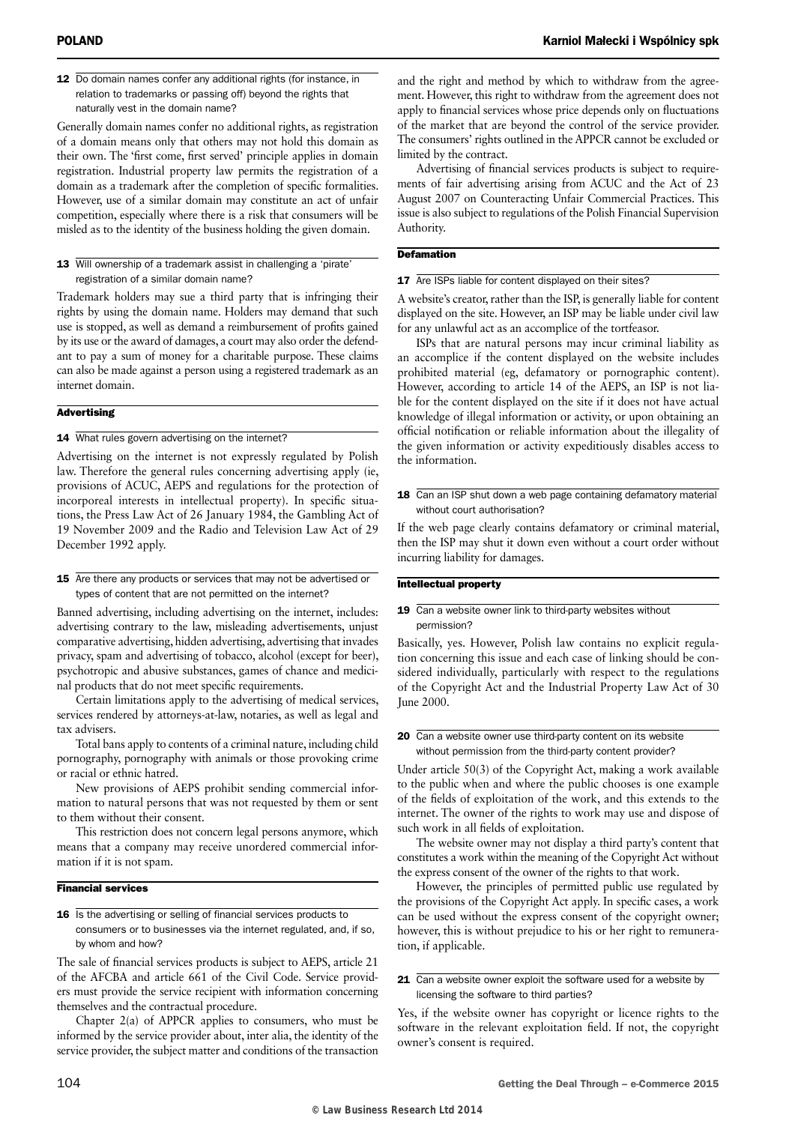12 Do domain names confer any additional rights (for instance, in relation to trademarks or passing off) beyond the rights that naturally vest in the domain name?

Generally domain names confer no additional rights, as registration of a domain means only that others may not hold this domain as their own. The 'first come, first served' principle applies in domain registration. Industrial property law permits the registration of a domain as a trademark after the completion of specific formalities. However, use of a similar domain may constitute an act of unfair competition, especially where there is a risk that consumers will be misled as to the identity of the business holding the given domain.

#### 13 Will ownership of a trademark assist in challenging a 'pirate' registration of a similar domain name?

Trademark holders may sue a third party that is infringing their rights by using the domain name. Holders may demand that such use is stopped, as well as demand a reimbursement of profits gained by its use or the award of damages, a court may also order the defendant to pay a sum of money for a charitable purpose. These claims can also be made against a person using a registered trademark as an internet domain.

#### **Advertising**

#### 14 What rules govern advertising on the internet?

Advertising on the internet is not expressly regulated by Polish law. Therefore the general rules concerning advertising apply (ie, provisions of ACUC, AEPS and regulations for the protection of incorporeal interests in intellectual property). In specific situations, the Press Law Act of 26 January 1984, the Gambling Act of 19 November 2009 and the Radio and Television Law Act of 29 December 1992 apply.

#### 15 Are there any products or services that may not be advertised or types of content that are not permitted on the internet?

Banned advertising, including advertising on the internet, includes: advertising contrary to the law, misleading advertisements, unjust comparative advertising, hidden advertising, advertising that invades privacy, spam and advertising of tobacco, alcohol (except for beer), psychotropic and abusive substances, games of chance and medicinal products that do not meet specific requirements.

Certain limitations apply to the advertising of medical services, services rendered by attorneys-at-law, notaries, as well as legal and tax advisers.

Total bans apply to contents of a criminal nature, including child pornography, pornography with animals or those provoking crime or racial or ethnic hatred.

New provisions of AEPS prohibit sending commercial information to natural persons that was not requested by them or sent to them without their consent.

This restriction does not concern legal persons anymore, which means that a company may receive unordered commercial information if it is not spam.

#### Financial services

16 Is the advertising or selling of financial services products to consumers or to businesses via the internet regulated, and, if so, by whom and how?

The sale of financial services products is subject to AEPS, article 21 of the AFCBA and article 661 of the Civil Code. Service providers must provide the service recipient with information concerning themselves and the contractual procedure.

Chapter 2(a) of APPCR applies to consumers, who must be informed by the service provider about, inter alia, the identity of the service provider, the subject matter and conditions of the transaction

and the right and method by which to withdraw from the agreement. However, this right to withdraw from the agreement does not apply to financial services whose price depends only on fluctuations of the market that are beyond the control of the service provider. The consumers' rights outlined in the APPCR cannot be excluded or limited by the contract.

Advertising of financial services products is subject to requirements of fair advertising arising from ACUC and the Act of 23 August 2007 on Counteracting Unfair Commercial Practices. This issue is also subject to regulations of the Polish Financial Supervision Authority.

#### **Defamation**

#### 17 Are ISPs liable for content displayed on their sites?

A website's creator, rather than the ISP, is generally liable for content displayed on the site. However, an ISP may be liable under civil law for any unlawful act as an accomplice of the tortfeasor.

ISPs that are natural persons may incur criminal liability as an accomplice if the content displayed on the website includes prohibited material (eg, defamatory or pornographic content). However, according to article 14 of the AEPS, an ISP is not liable for the content displayed on the site if it does not have actual knowledge of illegal information or activity, or upon obtaining an official notification or reliable information about the illegality of the given information or activity expeditiously disables access to the information.

#### 18 Can an ISP shut down a web page containing defamatory material without court authorisation?

If the web page clearly contains defamatory or criminal material, then the ISP may shut it down even without a court order without incurring liability for damages.

#### Intellectual property

#### 19 Can a website owner link to third-party websites without permission?

Basically, yes. However, Polish law contains no explicit regulation concerning this issue and each case of linking should be considered individually, particularly with respect to the regulations of the Copyright Act and the Industrial Property Law Act of 30 June 2000.

#### 20 Can a website owner use third-party content on its website without permission from the third-party content provider?

Under article 50(3) of the Copyright Act, making a work available to the public when and where the public chooses is one example of the fields of exploitation of the work, and this extends to the internet. The owner of the rights to work may use and dispose of such work in all fields of exploitation.

The website owner may not display a third party's content that constitutes a work within the meaning of the Copyright Act without the express consent of the owner of the rights to that work.

However, the principles of permitted public use regulated by the provisions of the Copyright Act apply. In specific cases, a work can be used without the express consent of the copyright owner; however, this is without prejudice to his or her right to remuneration, if applicable.

#### 21 Can a website owner exploit the software used for a website by licensing the software to third parties?

Yes, if the website owner has copyright or licence rights to the software in the relevant exploitation field. If not, the copyright owner's consent is required.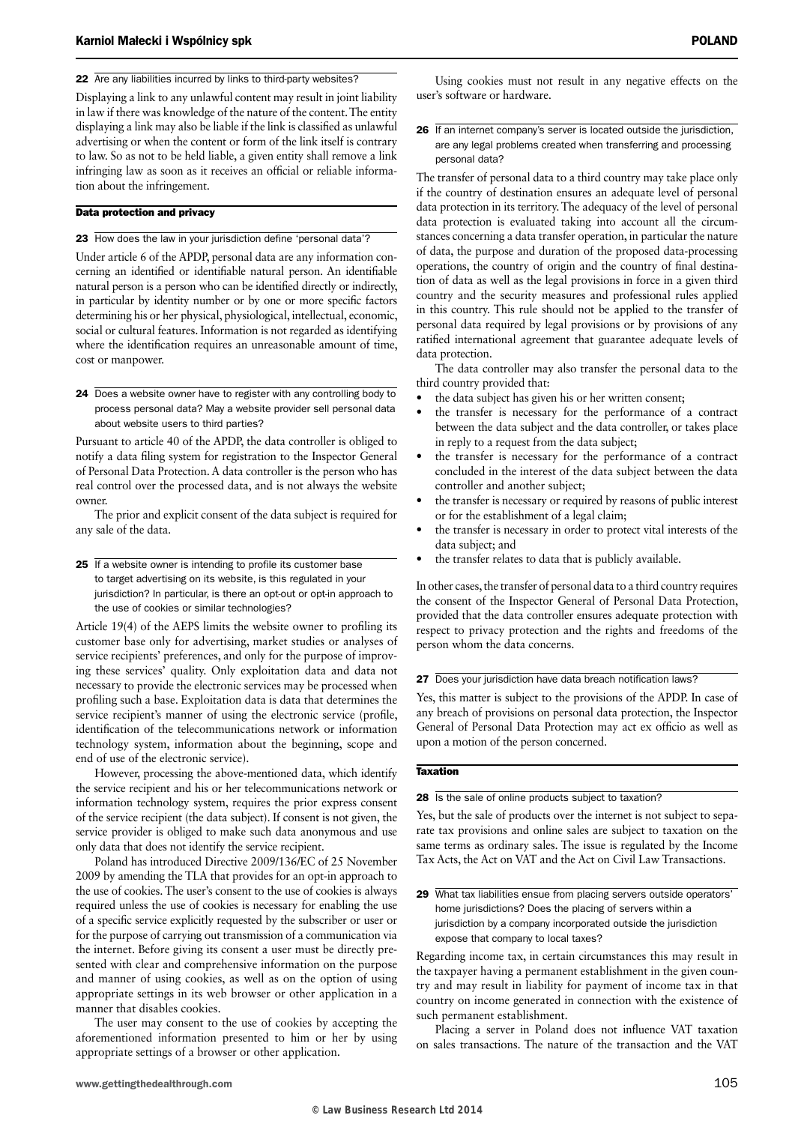Displaying a link to any unlawful content may result in joint liability in law if there was knowledge of the nature of the content. The entity displaying a link may also be liable if the link is classified as unlawful advertising or when the content or form of the link itself is contrary to law. So as not to be held liable, a given entity shall remove a link infringing law as soon as it receives an official or reliable information about the infringement.

#### Data protection and privacy

23 How does the law in your jurisdiction define 'personal data'?

Under article 6 of the APDP, personal data are any information concerning an identified or identifiable natural person. An identifiable natural person is a person who can be identified directly or indirectly, in particular by identity number or by one or more specific factors determining his or her physical, physiological, intellectual, economic, social or cultural features. Information is not regarded as identifying where the identification requires an unreasonable amount of time, cost or manpower.

24 Does a website owner have to register with any controlling body to process personal data? May a website provider sell personal data about website users to third parties?

Pursuant to article 40 of the APDP, the data controller is obliged to notify a data filing system for registration to the Inspector General of Personal Data Protection. A data controller is the person who has real control over the processed data, and is not always the website owner.

The prior and explicit consent of the data subject is required for any sale of the data.

25 If a website owner is intending to profile its customer base to target advertising on its website, is this regulated in your jurisdiction? In particular, is there an opt-out or opt-in approach to the use of cookies or similar technologies?

Article 19(4) of the AEPS limits the website owner to profiling its customer base only for advertising, market studies or analyses of service recipients' preferences, and only for the purpose of improving these services' quality. Only exploitation data and data not necessary to provide the electronic services may be processed when profiling such a base. Exploitation data is data that determines the service recipient's manner of using the electronic service (profile, identification of the telecommunications network or information technology system, information about the beginning, scope and end of use of the electronic service).

However, processing the above-mentioned data, which identify the service recipient and his or her telecommunications network or information technology system, requires the prior express consent of the service recipient (the data subject). If consent is not given, the service provider is obliged to make such data anonymous and use only data that does not identify the service recipient.

Poland has introduced Directive 2009/136/EC of 25 November 2009 by amending the TLA that provides for an opt-in approach to the use of cookies. The user's consent to the use of cookies is always required unless the use of cookies is necessary for enabling the use of a specific service explicitly requested by the subscriber or user or for the purpose of carrying out transmission of a communication via the internet. Before giving its consent a user must be directly presented with clear and comprehensive information on the purpose and manner of using cookies, as well as on the option of using appropriate settings in its web browser or other application in a manner that disables cookies.

The user may consent to the use of cookies by accepting the aforementioned information presented to him or her by using appropriate settings of a browser or other application.

Using cookies must not result in any negative effects on the user's software or hardware.

26 If an internet company's server is located outside the jurisdiction, are any legal problems created when transferring and processing personal data?

The transfer of personal data to a third country may take place only if the country of destination ensures an adequate level of personal data protection in its territory. The adequacy of the level of personal data protection is evaluated taking into account all the circumstances concerning a data transfer operation, in particular the nature of data, the purpose and duration of the proposed data-processing operations, the country of origin and the country of final destination of data as well as the legal provisions in force in a given third country and the security measures and professional rules applied in this country. This rule should not be applied to the transfer of personal data required by legal provisions or by provisions of any ratified international agreement that guarantee adequate levels of data protection.

The data controller may also transfer the personal data to the third country provided that:

- the data subject has given his or her written consent;
- the transfer is necessary for the performance of a contract between the data subject and the data controller, or takes place in reply to a request from the data subject;
- the transfer is necessary for the performance of a contract concluded in the interest of the data subject between the data controller and another subject;
- the transfer is necessary or required by reasons of public interest or for the establishment of a legal claim;
- the transfer is necessary in order to protect vital interests of the data subject; and
- the transfer relates to data that is publicly available.

In other cases, the transfer of personal data to a third country requires the consent of the Inspector General of Personal Data Protection, provided that the data controller ensures adequate protection with respect to privacy protection and the rights and freedoms of the person whom the data concerns.

27 Does your jurisdiction have data breach notification laws?

Yes, this matter is subject to the provisions of the APDP. In case of any breach of provisions on personal data protection, the Inspector General of Personal Data Protection may act ex officio as well as upon a motion of the person concerned.

#### Taxation

28 Is the sale of online products subject to taxation?

Yes, but the sale of products over the internet is not subject to separate tax provisions and online sales are subject to taxation on the same terms as ordinary sales. The issue is regulated by the Income Tax Acts, the Act on VAT and the Act on Civil Law Transactions.

29 What tax liabilities ensue from placing servers outside operators' home jurisdictions? Does the placing of servers within a jurisdiction by a company incorporated outside the jurisdiction expose that company to local taxes?

Regarding income tax, in certain circumstances this may result in the taxpayer having a permanent establishment in the given country and may result in liability for payment of income tax in that country on income generated in connection with the existence of such permanent establishment.

Placing a server in Poland does not influence VAT taxation on sales transactions. The nature of the transaction and the VAT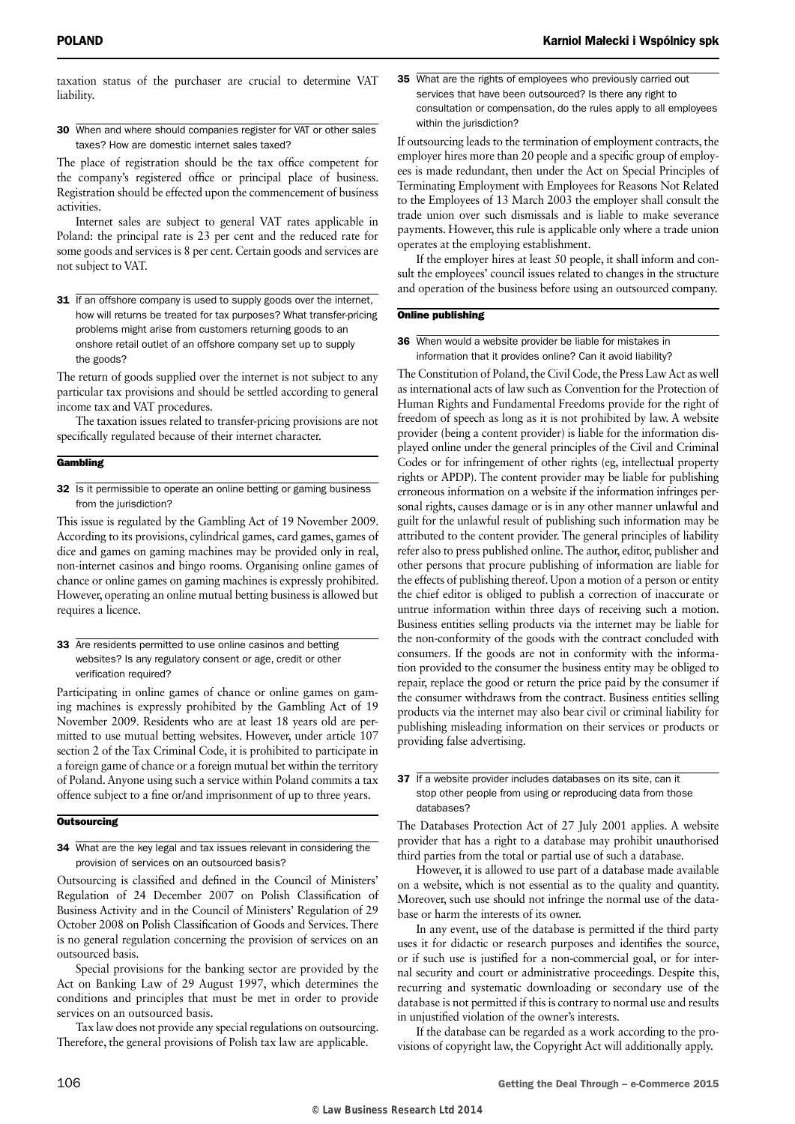taxation status of the purchaser are crucial to determine VAT liability.

30 When and where should companies register for VAT or other sales taxes? How are domestic internet sales taxed?

The place of registration should be the tax office competent for the company's registered office or principal place of business. Registration should be effected upon the commencement of business activities.

Internet sales are subject to general VAT rates applicable in Poland: the principal rate is 23 per cent and the reduced rate for some goods and services is 8 per cent. Certain goods and services are not subject to VAT.

31 If an offshore company is used to supply goods over the internet, how will returns be treated for tax purposes? What transfer-pricing problems might arise from customers returning goods to an onshore retail outlet of an offshore company set up to supply the goods?

The return of goods supplied over the internet is not subject to any particular tax provisions and should be settled according to general income tax and VAT procedures.

The taxation issues related to transfer-pricing provisions are not specifically regulated because of their internet character.

#### **Gambling**

32 Is it permissible to operate an online betting or gaming business from the jurisdiction?

This issue is regulated by the Gambling Act of 19 November 2009. According to its provisions, cylindrical games, card games, games of dice and games on gaming machines may be provided only in real, non-internet casinos and bingo rooms. Organising online games of chance or online games on gaming machines is expressly prohibited. However, operating an online mutual betting business is allowed but requires a licence.

33 Are residents permitted to use online casinos and betting websites? Is any regulatory consent or age, credit or other verification required?

Participating in online games of chance or online games on gaming machines is expressly prohibited by the Gambling Act of 19 November 2009. Residents who are at least 18 years old are permitted to use mutual betting websites. However, under article 107 section 2 of the Tax Criminal Code, it is prohibited to participate in a foreign game of chance or a foreign mutual bet within the territory of Poland. Anyone using such a service within Poland commits a tax offence subject to a fine or/and imprisonment of up to three years.

#### **Outsourcing**

34 What are the key legal and tax issues relevant in considering the provision of services on an outsourced basis?

Outsourcing is classified and defined in the Council of Ministers' Regulation of 24 December 2007 on Polish Classification of Business Activity and in the Council of Ministers' Regulation of 29 October 2008 on Polish Classification of Goods and Services. There is no general regulation concerning the provision of services on an outsourced basis.

Special provisions for the banking sector are provided by the Act on Banking Law of 29 August 1997, which determines the conditions and principles that must be met in order to provide services on an outsourced basis.

Tax law does not provide any special regulations on outsourcing. Therefore, the general provisions of Polish tax law are applicable.

35 What are the rights of employees who previously carried out services that have been outsourced? Is there any right to consultation or compensation, do the rules apply to all employees within the jurisdiction?

If outsourcing leads to the termination of employment contracts, the employer hires more than 20 people and a specific group of employees is made redundant, then under the Act on Special Principles of Terminating Employment with Employees for Reasons Not Related to the Employees of 13 March 2003 the employer shall consult the trade union over such dismissals and is liable to make severance payments. However, this rule is applicable only where a trade union operates at the employing establishment.

If the employer hires at least 50 people, it shall inform and consult the employees' council issues related to changes in the structure and operation of the business before using an outsourced company.

#### Online publishing

36 When would a website provider be liable for mistakes in information that it provides online? Can it avoid liability?

The Constitution of Poland, the Civil Code, the Press Law Act as well as international acts of law such as Convention for the Protection of Human Rights and Fundamental Freedoms provide for the right of freedom of speech as long as it is not prohibited by law. A website provider (being a content provider) is liable for the information displayed online under the general principles of the Civil and Criminal Codes or for infringement of other rights (eg, intellectual property rights or APDP). The content provider may be liable for publishing erroneous information on a website if the information infringes personal rights, causes damage or is in any other manner unlawful and guilt for the unlawful result of publishing such information may be attributed to the content provider. The general principles of liability refer also to press published online. The author, editor, publisher and other persons that procure publishing of information are liable for the effects of publishing thereof. Upon a motion of a person or entity the chief editor is obliged to publish a correction of inaccurate or untrue information within three days of receiving such a motion. Business entities selling products via the internet may be liable for the non-conformity of the goods with the contract concluded with consumers. If the goods are not in conformity with the information provided to the consumer the business entity may be obliged to repair, replace the good or return the price paid by the consumer if the consumer withdraws from the contract. Business entities selling products via the internet may also bear civil or criminal liability for publishing misleading information on their services or products or providing false advertising.

#### 37 If a website provider includes databases on its site, can it stop other people from using or reproducing data from those databases?

The Databases Protection Act of 27 July 2001 applies. A website provider that has a right to a database may prohibit unauthorised third parties from the total or partial use of such a database.

However, it is allowed to use part of a database made available on a website, which is not essential as to the quality and quantity. Moreover, such use should not infringe the normal use of the database or harm the interests of its owner.

In any event, use of the database is permitted if the third party uses it for didactic or research purposes and identifies the source, or if such use is justified for a non-commercial goal, or for internal security and court or administrative proceedings. Despite this, recurring and systematic downloading or secondary use of the database is not permitted if this is contrary to normal use and results in unjustified violation of the owner's interests.

If the database can be regarded as a work according to the provisions of copyright law, the Copyright Act will additionally apply.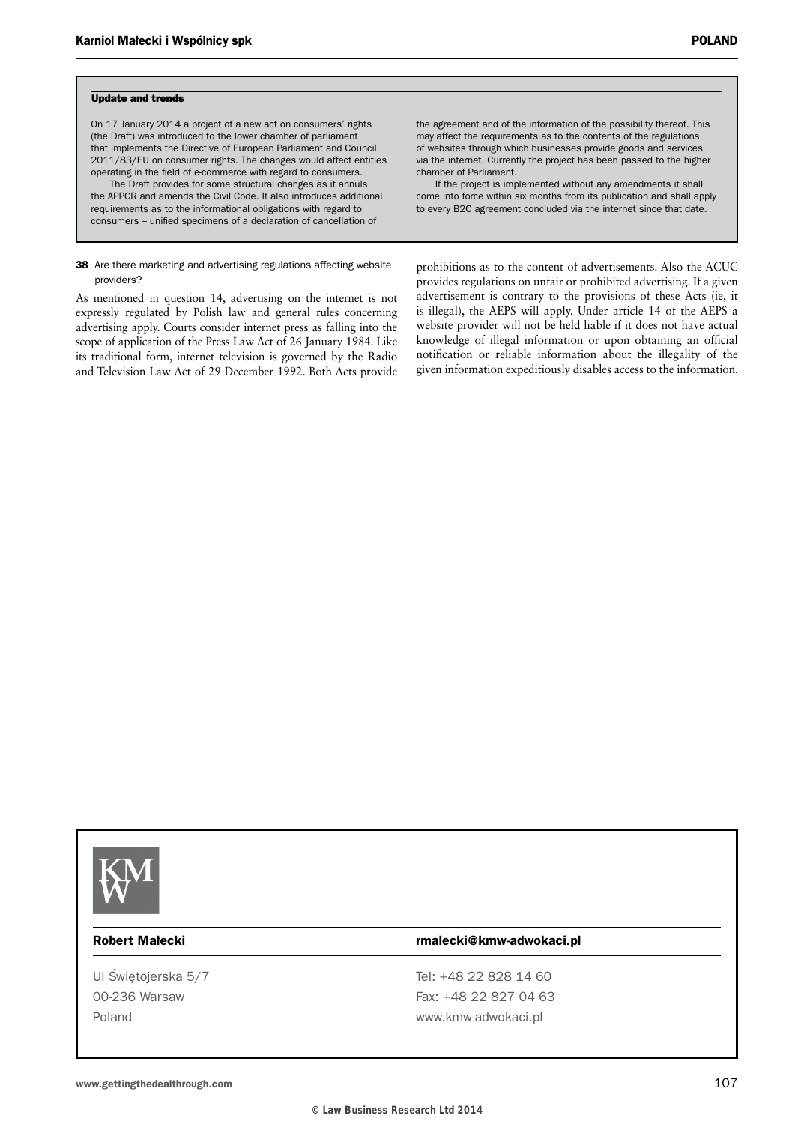#### Update and trends

On 17 January 2014 a project of a new act on consumers' rights (the Draft) was introduced to the lower chamber of parliament that implements the Directive of European Parliament and Council 2011/83/EU on consumer rights. The changes would affect entities operating in the field of e-commerce with regard to consumers. The Draft provides for some structural changes as it annuls the APPCR and amends the Civil Code. It also introduces additional requirements as to the informational obligations with regard to consumers – unified specimens of a declaration of cancellation of

38 Are there marketing and advertising regulations affecting website providers?

As mentioned in question 14, advertising on the internet is not expressly regulated by Polish law and general rules concerning advertising apply. Courts consider internet press as falling into the scope of application of the Press Law Act of 26 January 1984. Like its traditional form, internet television is governed by the Radio and Television Law Act of 29 December 1992. Both Acts provide

the agreement and of the information of the possibility thereof. This may affect the requirements as to the contents of the regulations of websites through which businesses provide goods and services via the internet. Currently the project has been passed to the higher chamber of Parliament.

If the project is implemented without any amendments it shall come into force within six months from its publication and shall apply to every B2C agreement concluded via the internet since that date.

prohibitions as to the content of advertisements. Also the ACUC provides regulations on unfair or prohibited advertising. If a given advertisement is contrary to the provisions of these Acts (ie, it is illegal), the AEPS will apply. Under article 14 of the AEPS a website provider will not be held liable if it does not have actual knowledge of illegal information or upon obtaining an official notification or reliable information about the illegality of the given information expeditiously disables access to the information.



#### Robert Małecki rmalecki@kmw-adwokaci.pl

Ul Świetojerska 5/7 Tel: +48 22 828 14 60 00-236 Warsaw Fax: +48 22 827 04 63 Poland **WARD CONTROLLER WWW.KMW-adwokaci.pl**